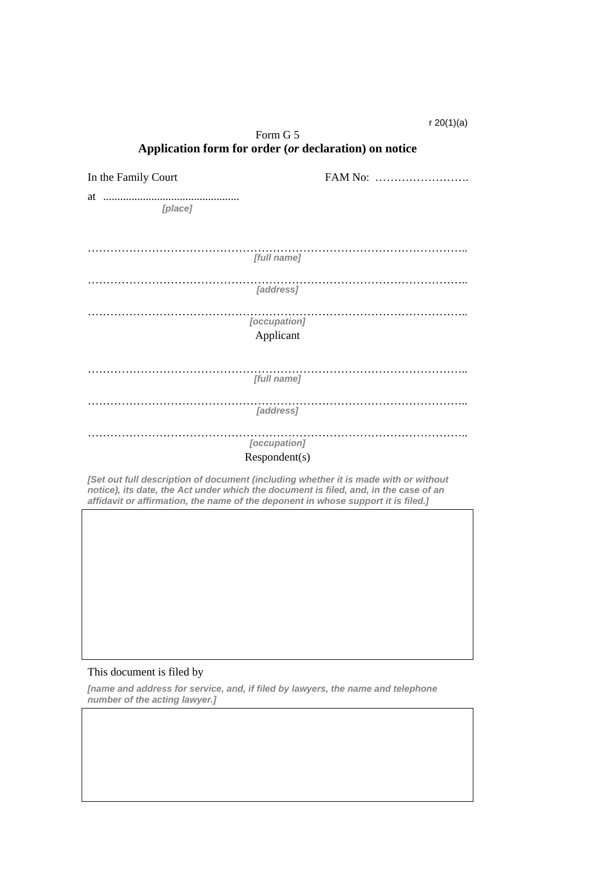## r 20(1)(a)

| Form G 5                                                                                                                                                                                                                                                         |         |
|------------------------------------------------------------------------------------------------------------------------------------------------------------------------------------------------------------------------------------------------------------------|---------|
| Application form for order (or declaration) on notice                                                                                                                                                                                                            |         |
| In the Family Court                                                                                                                                                                                                                                              | FAM No: |
| [place]                                                                                                                                                                                                                                                          |         |
|                                                                                                                                                                                                                                                                  |         |
| [full name]                                                                                                                                                                                                                                                      |         |
| [address]                                                                                                                                                                                                                                                        |         |
| [occupation]                                                                                                                                                                                                                                                     |         |
| Applicant                                                                                                                                                                                                                                                        |         |
|                                                                                                                                                                                                                                                                  |         |
| [full name]                                                                                                                                                                                                                                                      |         |
| [address]                                                                                                                                                                                                                                                        |         |
| [occupation]                                                                                                                                                                                                                                                     |         |
| Respondent(s)                                                                                                                                                                                                                                                    |         |
| [Set out full description of document (including whether it is made with or without<br>notice), its date, the Act under which the document is filed, and, in the case of an<br>affidavit or affirmation, the name of the deponent in whose support it is filed.] |         |

#### This document is filed by

*[name and address for service, and, if filed by lawyers, the name and telephone number of the acting lawyer.]*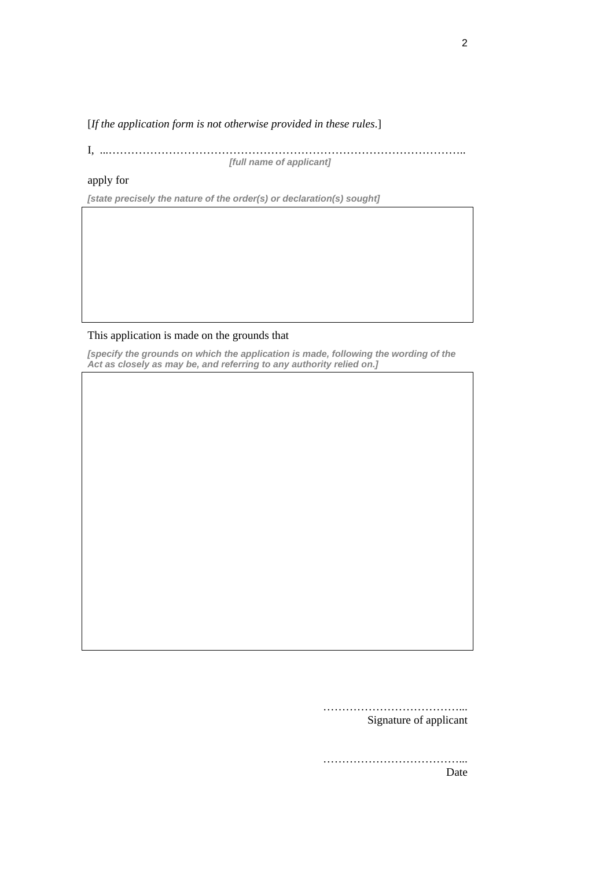[*If the application form is not otherwise provided in these rules*.]

I, ...………………………………………………………………………………….. *[full name of applicant]* 

## apply for

*[state precisely the nature of the order(s) or declaration(s) sought]* 

## This application is made on the grounds that

*[specify the grounds on which the application is made, following the wording of the Act as closely as may be, and referring to any authority relied on.]* 

> ………………………………... Signature of applicant

> ………………………………... Date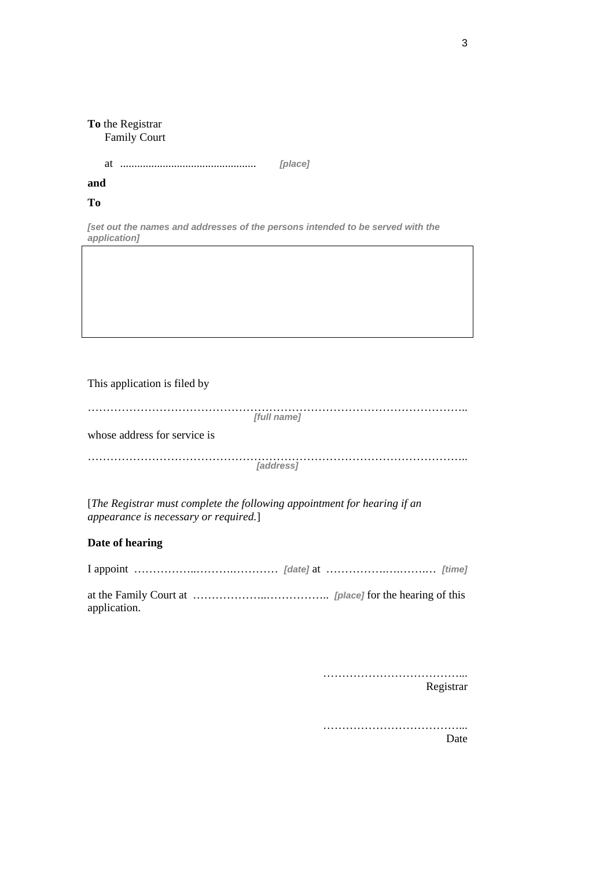## **To** the Registrar Family Court

at …………………………………... *[place]* ................................................

# **and**

### **To**

*[set out the names and addresses of the persons intended to be served with the application]* 

## This application is filed by

| [full name]                  |  |
|------------------------------|--|
| whose address for service is |  |
| <b><i>[address]</i></b>      |  |

[*The Registrar must complete the following appointment for hearing if an appearance is necessary or required.*]

## **Date of hearing**

|--|--|--|

at the Family Court at ………………..…………….. *[place]* for the hearing of this application.

> ……………………………………… Registrar

………………………………... Date